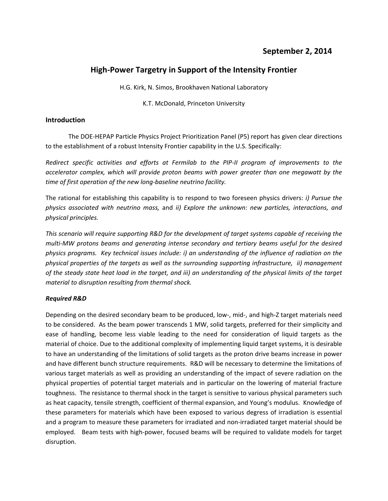# **High‐Power Targetry in Support of the Intensity Frontier**

H.G. Kirk, N. Simos, Brookhaven National Laboratory

K.T. McDonald, Princeton University

## **Introduction**

The DOE‐HEPAP Particle Physics Project Prioritization Panel (P5) report has given clear directions to the establishment of a robust Intensity Frontier capability in the U.S. Specifically:

*Redirect specific activities and efforts at Fermilab to the PIP‐II program of improvements to the accelerator complex, which will provide proton beams with power greater than one megawatt by the time of first operation of the new long‐baseline neutrino facility.*

The rational for establishing this capability is to respond to two foreseen physics drivers: *i) Pursue the physics associated with neutrino mass,* and *ii) Explore the unknown: new particles, interactions, and physical principles.*

*This scenario will require supporting R&D for the development of target systems capable of receiving the multi‐MW protons beams and generating intense secondary and tertiary beams useful for the desired physics programs. Key technical issues include: i) an understanding of the influence of radiation on the physical properties of the targets as well as the surrounding supporting infrastructure, ii) management* of the steady state heat load in the target, and iii) an understanding of the physical limits of the target *material to disruption resulting from thermal shock.*

### *Required R&D*

Depending on the desired secondary beam to be produced, low-, mid-, and high-Z target materials need to be considered. As the beam power transcends 1 MW, solid targets, preferred for their simplicity and ease of handling, become less viable leading to the need for consideration of liquid targets as the material of choice. Due to the additional complexity of implementing liquid target systems, it is desirable to have an understanding of the limitations of solid targets as the proton drive beams increase in power and have different bunch structure requirements. R&D will be necessary to determine the limitations of various target materials as well as providing an understanding of the impact of severe radiation on the physical properties of potential target materials and in particular on the lowering of material fracture toughness. The resistance to thermal shock in the target is sensitive to various physical parameters such as heat capacity, tensile strength, coefficient of thermal expansion, and Young's modulus. Knowledge of these parameters for materials which have been exposed to various degress of irradiation is essential and a program to measure these parameters for irradiated and non-irradiated target material should be employed. Beam tests with high‐power, focused beams will be required to validate models for target disruption.